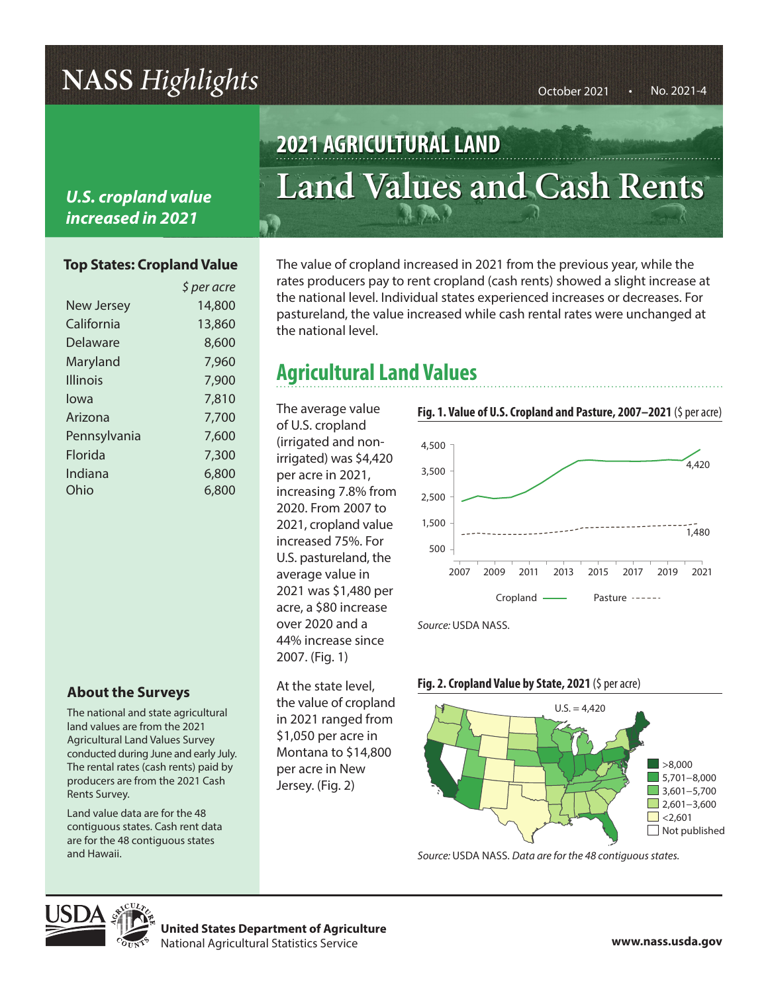# **NASS** *Highlights*  $\frac{1}{2}$   $\frac{1}{2}$   $\frac{1}{2}$   $\frac{1}{2}$   $\frac{1}{2}$   $\frac{1}{2}$   $\frac{1}{2}$   $\frac{1}{2}$   $\frac{1}{2}$   $\frac{1}{2}$   $\frac{1}{2}$   $\frac{1}{2}$   $\frac{1}{2}$   $\frac{1}{2}$   $\frac{1}{2}$   $\frac{1}{2}$   $\frac{1}{2}$   $\frac{1}{2}$   $\frac{1}{2}$   $\frac{1}{2}$   $\$

### *U.S. cropland value increased in 2021*

#### **Top States: Cropland Value**

|                   | \$ per acre |
|-------------------|-------------|
| <b>New Jersey</b> | 14,800      |
| California        | 13,860      |
| Delaware          | 8,600       |
| Maryland          | 7,960       |
| <b>Illinois</b>   | 7,900       |
| lowa              | 7,810       |
| Arizona           | 7,700       |
| Pennsylvania      | 7,600       |
| Florida           | 7,300       |
| Indiana           | 6,800       |
| Ohio              | 6,800       |
|                   |             |

### **About the Surveys**

The national and state agricultural land values are from the 2021 Agricultural Land Values Survey conducted during June and early July. The rental rates (cash rents) paid by producers are from the 2021 Cash Rents Survey.

Land value data are for the 48 contiguous states. Cash rent data are for the 48 contiguous states and Hawaii.

# **2021 AGRICULTURAL LAND Land Values and Cash Rents**

The value of cropland increased in 2021 from the previous year, while the rates producers pay to rent cropland (cash rents) showed a slight increase at the national level. Individual states experienced increases or decreases. For pastureland, the value increased while cash rental rates were unchanged at the national level.

### **Agricultural Land Values**

The average value of U.S. cropland (irrigated and nonirrigated) was \$4,420 per acre in 2021, increasing 7.8% from 2020. From 2007 to 2021, cropland value increased 75%. For U.S. pastureland, the average value in 2021 was \$1,480 per acre, a \$80 increase over 2020 and a 44% increase since 2007. (Fig. 1)

At the state level, the value of cropland in 2021 ranged from \$1,050 per acre in Montana to \$14,800 per acre in New Jersey. (Fig. 2)



*Source:* USDA NASS.





*Source:* USDA NASS. *Data are for the 48 contiguous states.*



**United States Department of Agriculture** National Agricultural Statistics Service **www.nass.usda.gov**